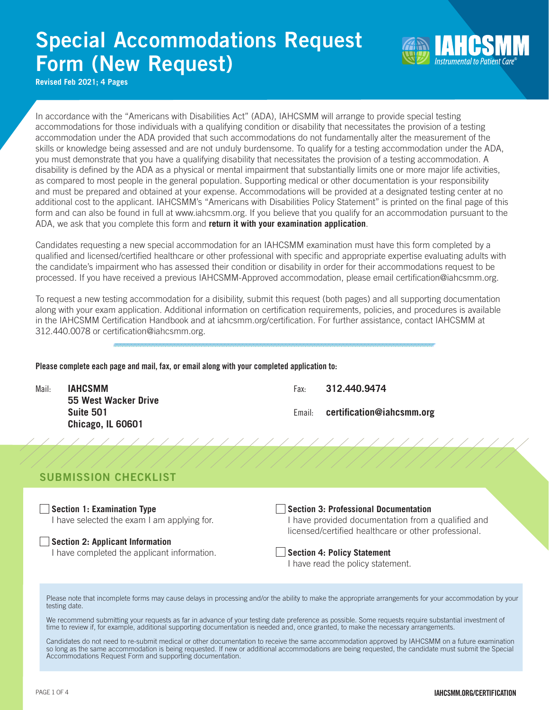# Special Accommodations Request Form (New Request)



**Revised Feb 2021; 4 Pages**

In accordance with the "Americans with Disabilities Act" (ADA), IAHCSMM will arrange to provide special testing accommodations for those individuals with a qualifying condition or disability that necessitates the provision of a testing accommodation under the ADA provided that such accommodations do not fundamentally alter the measurement of the skills or knowledge being assessed and are not unduly burdensome. To qualify for a testing accommodation under the ADA, you must demonstrate that you have a qualifying disability that necessitates the provision of a testing accommodation. A disability is defined by the ADA as a physical or mental impairment that substantially limits one or more major life activities, as compared to most people in the general population. Supporting medical or other documentation is your responsibility and must be prepared and obtained at your expense. Accommodations will be provided at a designated testing center at no additional cost to the applicant. IAHCSMM's "Americans with Disabilities Policy Statement" is printed on the final page of this form and can also be found in full at www.iahcsmm.org. If you believe that you qualify for an accommodation pursuant to the ADA, we ask that you complete this form and **return it with your examination application**.

Candidates requesting a new special accommodation for an IAHCSMM examination must have this form completed by a qualified and licensed/certified healthcare or other professional with specific and appropriate expertise evaluating adults with the candidate's impairment who has assessed their condition or disability in order for their accommodations request to be processed. If you have received a previous IAHCSMM-Approved accommodation, please email certification@iahcsmm.org.

To request a new testing accommodation for a disibility, submit this request (both pages) and all supporting documentation along with your exam application. Additional information on certification requirements, policies, and procedures is available in the IAHCSMM Certification Handbook and at iahcsmm.org/certification. For further assistance, contact IAHCSMM at 312.440.0078 or certification@iahcsmm.org.

### Please complete each page and mail, fax, or email along with your completed application to:

| Mail: | IAHCSMM              | Fax: | 312.440.9474                     |
|-------|----------------------|------|----------------------------------|
|       | 55 West Wacker Drive |      |                                  |
|       | Suite 501            |      | Email: certification@iahcsmm.org |
|       | Chicago, IL 60601    |      |                                  |

### SUBMISSION CHECKLIST

**Section 1: Examination Type** I have selected the exam I am applying for.

### **Section 2: Applicant Information**

I have completed the applicant information.

**Section 3: Professional Documentation**

I have provided documentation from a qualified and licensed/certified healthcare or other professional.

### **Section 4: Policy Statement**

I have read the policy statement.

Please note that incomplete forms may cause delays in processing and/or the ability to make the appropriate arrangements for your accommodation by your testing date.

We recommend submitting your requests as far in advance of your testing date preference as possible. Some requests require substantial investment of time to review if, for example, additional supporting documentation is needed and, once granted, to make the necessary arrangements.

Candidates do not need to re-submit medical or other documentation to receive the same accommodation approved by IAHCSMM on a future examination so long as the same accommodation is being requested. If new or additional accommodations are being requested, the candidate must submit the Special Accommodations Request Form and supporting documentation.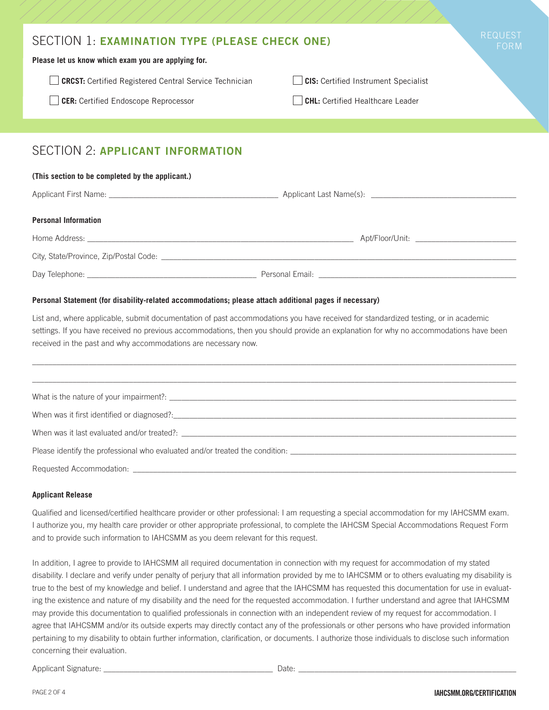| SECTION 1: EXAMINATION TYPE (PLEASE CHECK ONE)<br>Please let us know which exam you are applying for. | <b>REQUEST</b><br>FORM                      |  |  |  |  |  |
|-------------------------------------------------------------------------------------------------------|---------------------------------------------|--|--|--|--|--|
| <b>CRCST:</b> Certified Registered Central Service Technician                                         | <b>CIS:</b> Certified Instrument Specialist |  |  |  |  |  |
| <b>CER:</b> Certified Endoscope Reprocessor                                                           | <b>CHL:</b> Certified Healthcare Leader     |  |  |  |  |  |
|                                                                                                       |                                             |  |  |  |  |  |
| <b>SECTION 2: APPLICANT INFORMATION</b>                                                               |                                             |  |  |  |  |  |
| (This section to be completed by the applicant.)                                                      |                                             |  |  |  |  |  |
|                                                                                                       |                                             |  |  |  |  |  |
| <b>Personal Information</b>                                                                           |                                             |  |  |  |  |  |
|                                                                                                       |                                             |  |  |  |  |  |
| City, State/Province, Zip/Postal Code:                                                                |                                             |  |  |  |  |  |

**Personal Statement (for disability-related accommodations; please attach additional pages if necessary)**

Day Telephone: \_\_\_\_\_\_\_\_\_\_\_\_\_\_\_\_\_\_\_\_\_\_\_\_\_\_\_\_\_\_\_\_\_\_\_\_\_\_\_\_\_\_ Personal Email: \_\_\_\_\_\_\_\_\_\_\_\_\_\_\_\_\_\_\_\_\_\_\_\_\_\_\_\_\_\_\_\_\_\_\_\_\_\_\_\_\_\_\_\_\_\_\_\_\_

List and, where applicable, submit documentation of past accommodations you have received for standardized testing, or in academic settings. If you have received no previous accommodations, then you should provide an explanation for why no accommodations have been received in the past and why accommodations are necessary now.

| Please identify the professional who evaluated and/or treated the condition: |  |  |
|------------------------------------------------------------------------------|--|--|
|                                                                              |  |  |

### **Applicant Release**

Qualified and licensed/certified healthcare provider or other professional: I am requesting a special accommodation for my IAHCSMM exam. I authorize you, my health care provider or other appropriate professional, to complete the IAHCSM Special Accommodations Request Form and to provide such information to IAHCSMM as you deem relevant for this request.

In addition, I agree to provide to IAHCSMM all required documentation in connection with my request for accommodation of my stated disability. I declare and verify under penalty of perjury that all information provided by me to IAHCSMM or to others evaluating my disability is true to the best of my knowledge and belief. I understand and agree that the IAHCSMM has requested this documentation for use in evaluating the existence and nature of my disability and the need for the requested accommodation. I further understand and agree that IAHCSMM may provide this documentation to qualified professionals in connection with an independent review of my request for accommodation. I agree that IAHCSMM and/or its outside experts may directly contact any of the professionals or other persons who have provided information pertaining to my disability to obtain further information, clarification, or documents. I authorize those individuals to disclose such information concerning their evaluation.

Applicant Signature: \_\_\_\_\_\_\_\_\_\_\_\_\_\_\_\_\_\_\_\_\_\_\_\_\_\_\_\_\_\_\_\_\_\_\_\_\_\_\_\_\_\_ Date: \_\_\_\_\_\_\_\_\_\_\_\_\_\_\_\_\_\_\_\_\_\_\_\_\_\_\_\_\_\_\_\_\_\_\_\_\_\_\_\_\_\_\_\_\_\_\_\_\_\_\_\_\_\_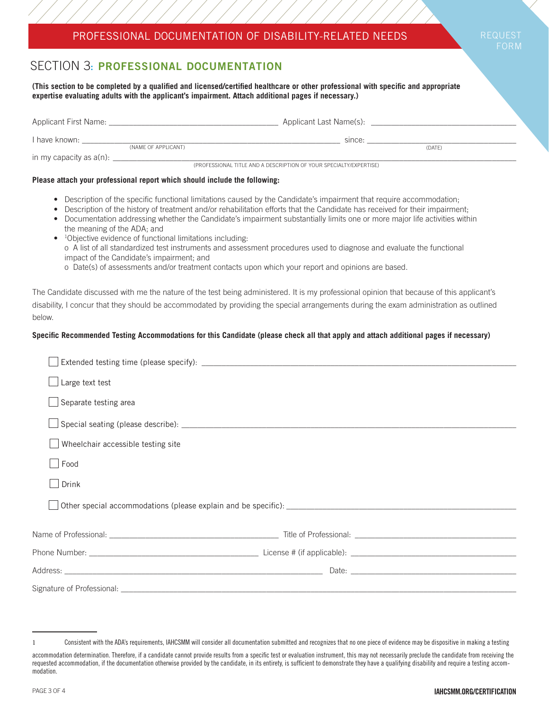## PROFESSIONAL DOCUMENTATION OF DISABILITY-RELATED NEEDS

REQUEST FORM

# SECTION 3: PROFESSIONAL DOCUMENTATION

**(This section to be completed by a qualified and licensed/certified healthcare or other professional with specific and appropriate expertise evaluating adults with the applicant's impairment. Attach additional pages if necessary.)**

| Applicant First Name:                                              |                     | Applicant Last Name(s): |        |  |  |
|--------------------------------------------------------------------|---------------------|-------------------------|--------|--|--|
| I have known:                                                      | (NAME OF APPLICANT) | since:                  | (DATE) |  |  |
| in my capacity as $a(n)$ : _                                       |                     |                         |        |  |  |
| (PROFESSIONAL TITLE AND A DESCRIPTION OF YOUR SPECIALTY/EXPERTISE) |                     |                         |        |  |  |

### **Please attach your professional report which should include the following:**

- Description of the specific functional limitations caused by the Candidate's impairment that require accommodation;
- Description of the history of treatment and/or rehabilitation efforts that the Candidate has received for their impairment;
- Documentation addressing whether the Candidate's impairment substantially limits one or more major life activities within the meaning of the ADA; and
- <sup>1</sup>Objective evidence of functional limitations including: o A list of all standardized test instruments and assessment procedures used to diagnose and evaluate the functional impact of the Candidate's impairment; and
	- o Date(s) of assessments and/or treatment contacts upon which your report and opinions are based.

The Candidate discussed with me the nature of the test being administered. It is my professional opinion that because of this applicant's disability, I concur that they should be accommodated by providing the special arrangements during the exam administration as outlined below.

### **Specific Recommended Testing Accommodations for this Candidate (please check all that apply and attach additional pages if necessary)**

| Large text test                    |  |  |  |  |  |
|------------------------------------|--|--|--|--|--|
| Separate testing area              |  |  |  |  |  |
|                                    |  |  |  |  |  |
| Wheelchair accessible testing site |  |  |  |  |  |
| Food                               |  |  |  |  |  |
| Drink                              |  |  |  |  |  |
|                                    |  |  |  |  |  |
|                                    |  |  |  |  |  |
|                                    |  |  |  |  |  |
|                                    |  |  |  |  |  |
|                                    |  |  |  |  |  |
|                                    |  |  |  |  |  |

<sup>1</sup> Consistent with the ADA's requirements, IAHCSMM will consider all documentation submitted and recognizes that no one piece of evidence may be dispositive in making a testing

accommodation determination. Therefore, if a candidate cannot provide results from a specific test or evaluation instrument, this may not necessarily preclude the candidate from receiving the requested accommodation, if the documentation otherwise provided by the candidate, in its entirety, is sufficient to demonstrate they have a qualifying disability and require a testing accommodation.